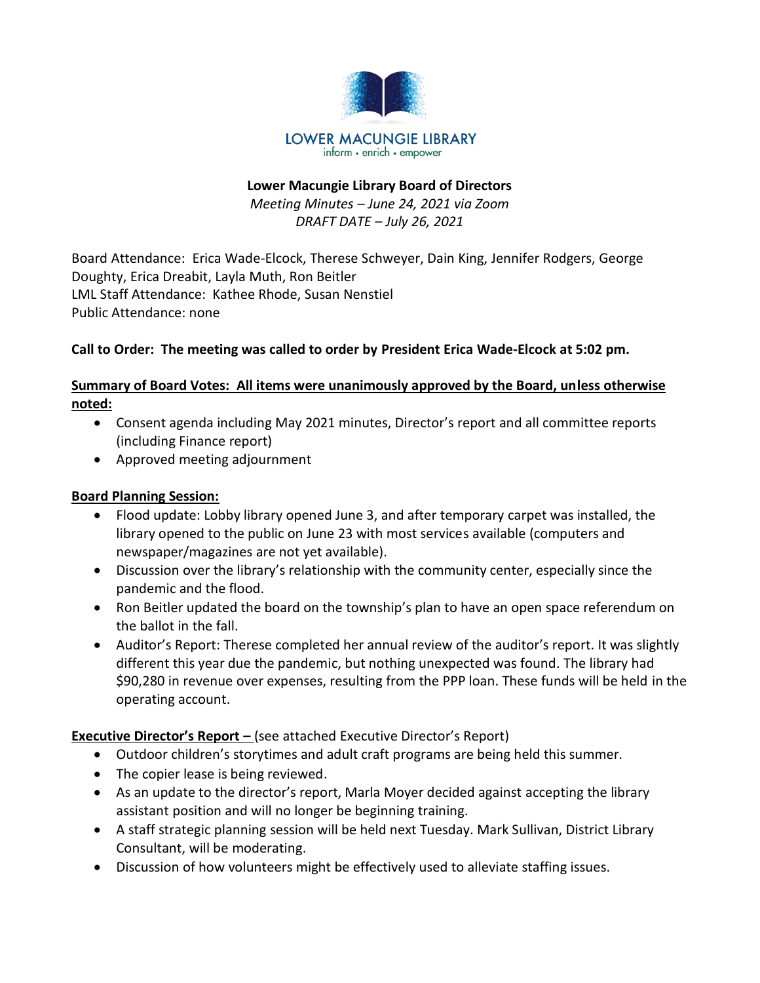

## **Lower Macungie Library Board of Directors** *Meeting Minutes – June 24, 2021 via Zoom DRAFT DATE – July 26, 2021*

Board Attendance: Erica Wade-Elcock, Therese Schweyer, Dain King, Jennifer Rodgers, George Doughty, Erica Dreabit, Layla Muth, Ron Beitler LML Staff Attendance: Kathee Rhode, Susan Nenstiel Public Attendance: none

## **Call to Order: The meeting was called to order by President Erica Wade-Elcock at 5:02 pm.**

## **Summary of Board Votes: All items were unanimously approved by the Board, unless otherwise noted:**

- Consent agenda including May 2021 minutes, Director's report and all committee reports (including Finance report)
- Approved meeting adjournment

## **Board Planning Session:**

- Flood update: Lobby library opened June 3, and after temporary carpet was installed, the library opened to the public on June 23 with most services available (computers and newspaper/magazines are not yet available).
- Discussion over the library's relationship with the community center, especially since the pandemic and the flood.
- Ron Beitler updated the board on the township's plan to have an open space referendum on the ballot in the fall.
- Auditor's Report: Therese completed her annual review of the auditor's report. It was slightly different this year due the pandemic, but nothing unexpected was found. The library had \$90,280 in revenue over expenses, resulting from the PPP loan. These funds will be held in the operating account.

# **Executive Director's Report –** (see attached Executive Director's Report)

- Outdoor children's storytimes and adult craft programs are being held this summer.
- The copier lease is being reviewed.
- As an update to the director's report, Marla Moyer decided against accepting the library assistant position and will no longer be beginning training.
- A staff strategic planning session will be held next Tuesday. Mark Sullivan, District Library Consultant, will be moderating.
- Discussion of how volunteers might be effectively used to alleviate staffing issues.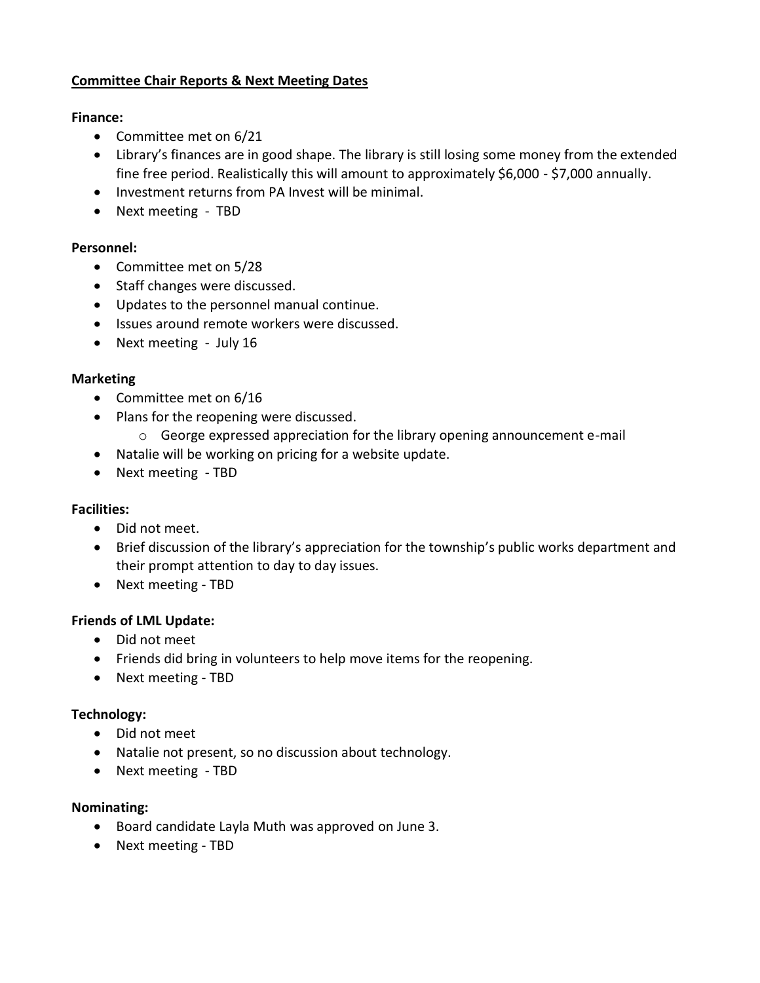## **Committee Chair Reports & Next Meeting Dates**

#### **Finance:**

- Committee met on 6/21
- Library's finances are in good shape. The library is still losing some money from the extended fine free period. Realistically this will amount to approximately \$6,000 - \$7,000 annually.
- Investment returns from PA Invest will be minimal.
- Next meeting TBD

#### **Personnel:**

- Committee met on 5/28
- Staff changes were discussed.
- Updates to the personnel manual continue.
- Issues around remote workers were discussed.
- Next meeting July 16

## **Marketing**

- Committee met on 6/16
- Plans for the reopening were discussed.
	- o George expressed appreciation for the library opening announcement e-mail
- Natalie will be working on pricing for a website update.
- Next meeting TBD

## **Facilities:**

- Did not meet.
- Brief discussion of the library's appreciation for the township's public works department and their prompt attention to day to day issues.
- Next meeting TBD

## **Friends of LML Update:**

- Did not meet
- Friends did bring in volunteers to help move items for the reopening.
- Next meeting TBD

## **Technology:**

- Did not meet
- Natalie not present, so no discussion about technology.
- Next meeting TBD

## **Nominating:**

- Board candidate Layla Muth was approved on June 3.
- Next meeting TBD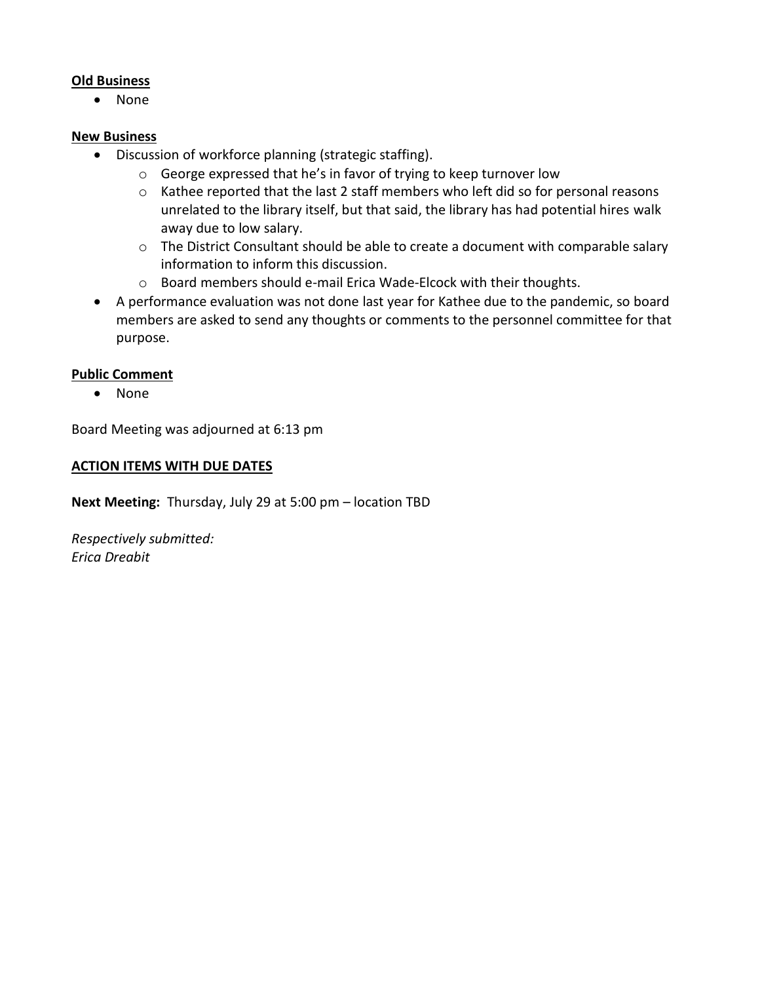#### **Old Business**

• None

#### **New Business**

- Discussion of workforce planning (strategic staffing).
	- o George expressed that he's in favor of trying to keep turnover low
	- o Kathee reported that the last 2 staff members who left did so for personal reasons unrelated to the library itself, but that said, the library has had potential hires walk away due to low salary.
	- o The District Consultant should be able to create a document with comparable salary information to inform this discussion.
	- o Board members should e-mail Erica Wade-Elcock with their thoughts.
- A performance evaluation was not done last year for Kathee due to the pandemic, so board members are asked to send any thoughts or comments to the personnel committee for that purpose.

## **Public Comment**

• None

Board Meeting was adjourned at 6:13 pm

#### **ACTION ITEMS WITH DUE DATES**

**Next Meeting:** Thursday, July 29 at 5:00 pm – location TBD

*Respectively submitted: Erica Dreabit*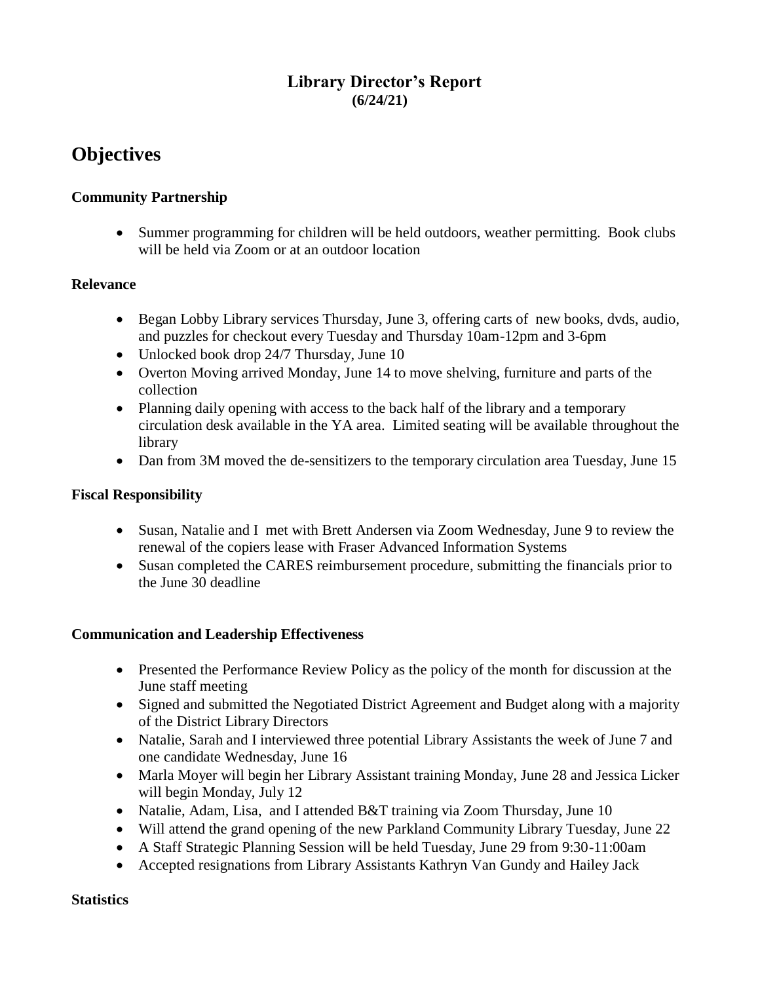# **Library Director's Report (6/24/21)**

# **Objectives**

## **Community Partnership**

• Summer programming for children will be held outdoors, weather permitting. Book clubs will be held via Zoom or at an outdoor location

## **Relevance**

- Began Lobby Library services Thursday, June 3, offering carts of new books, dvds, audio, and puzzles for checkout every Tuesday and Thursday 10am-12pm and 3-6pm
- Unlocked book drop 24/7 Thursday, June 10
- Overton Moving arrived Monday, June 14 to move shelving, furniture and parts of the collection
- Planning daily opening with access to the back half of the library and a temporary circulation desk available in the YA area. Limited seating will be available throughout the library
- Dan from 3M moved the de-sensitizers to the temporary circulation area Tuesday, June 15

## **Fiscal Responsibility**

- Susan, Natalie and I met with Brett Andersen via Zoom Wednesday, June 9 to review the renewal of the copiers lease with Fraser Advanced Information Systems
- Susan completed the CARES reimbursement procedure, submitting the financials prior to the June 30 deadline

## **Communication and Leadership Effectiveness**

- Presented the Performance Review Policy as the policy of the month for discussion at the June staff meeting
- Signed and submitted the Negotiated District Agreement and Budget along with a majority of the District Library Directors
- Natalie, Sarah and I interviewed three potential Library Assistants the week of June 7 and one candidate Wednesday, June 16
- Marla Moyer will begin her Library Assistant training Monday, June 28 and Jessica Licker will begin Monday, July 12
- Natalie, Adam, Lisa, and I attended B&T training via Zoom Thursday, June 10
- Will attend the grand opening of the new Parkland Community Library Tuesday, June 22
- A Staff Strategic Planning Session will be held Tuesday, June 29 from 9:30-11:00am
- Accepted resignations from Library Assistants Kathryn Van Gundy and Hailey Jack

## **Statistics**